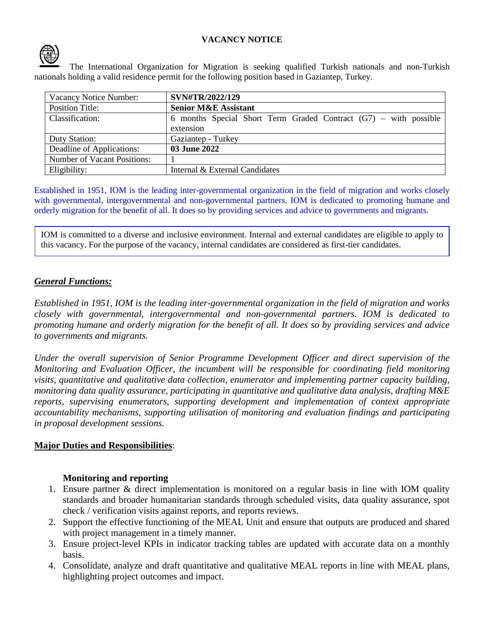### **VACANCY NOTICE**



The International Organization for Migration is seeking qualified Turkish nationals and non-Turkish nationals holding a valid residence permit for the following position based in Gaziantep, Turkey.

| Vacancy Notice Number:             | SVN#TR/2022/129                                                    |
|------------------------------------|--------------------------------------------------------------------|
| <b>Position Title:</b>             | <b>Senior M&amp;E Assistant</b>                                    |
| Classification:                    | 6 months Special Short Term Graded Contract $(G7)$ – with possible |
|                                    | extension                                                          |
| Duty Station:                      | Gaziantep - Turkey                                                 |
| Deadline of Applications:          | 03 June 2022                                                       |
| <b>Number of Vacant Positions:</b> |                                                                    |
| Eligibility:                       | Internal & External Candidates                                     |

Established in 1951, IOM is the leading inter-governmental organization in the field of migration and works closely with governmental, intergovernmental and non-governmental partners. IOM is dedicated to promoting humane and orderly migration for the benefit of all. It does so by providing services and advice to governments and migrants.

IOM is committed to a diverse and inclusive environment. Internal and external candidates are eligible to apply to this vacancy. For the purpose of the vacancy, internal candidates are considered as first-tier candidates.

### *General Functions:*

*Established in 1951, IOM is the leading inter-governmental organization in the field of migration and works closely with governmental, intergovernmental and non-governmental partners. IOM is dedicated to promoting humane and orderly migration for the benefit of all. It does so by providing services and advice to governments and migrants.* 

*Under the overall supervision of Senior Programme Development Officer and direct supervision of the Monitoring and Evaluation Officer, the incumbent will be responsible for coordinating field monitoring visits, quantitative and qualitative data collection, enumerator and implementing partner capacity building, monitoring data quality assurance, participating in quantitative and qualitative data analysis, drafting M&E reports, supervising enumerators, supporting development and implementation of context appropriate accountability mechanisms, supporting utilisation of monitoring and evaluation findings and participating in proposal development sessions.* 

### **Major Duties and Responsibilities**:

### **Monitoring and reporting**

- 1. Ensure partner & direct implementation is monitored on a regular basis in line with IOM quality standards and broader humanitarian standards through scheduled visits, data quality assurance, spot check / verification visits against reports, and reports reviews.
- 2. Support the effective functioning of the MEAL Unit and ensure that outputs are produced and shared with project management in a timely manner.
- 3. Ensure project-level KPIs in indicator tracking tables are updated with accurate data on a monthly basis.
- 4. Consolidate, analyze and draft quantitative and qualitative MEAL reports in line with MEAL plans, highlighting project outcomes and impact.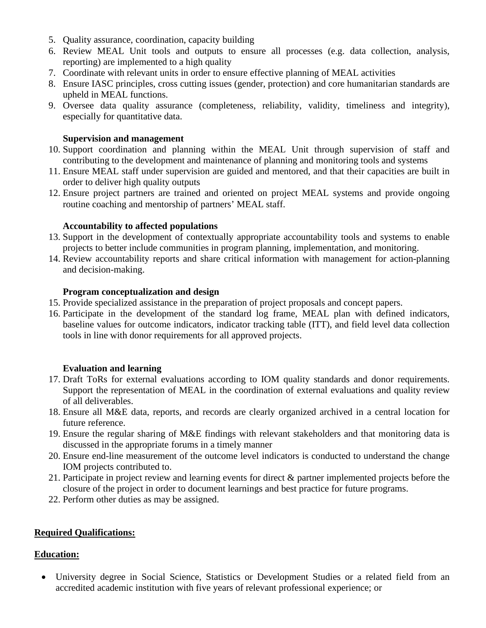- 5. Quality assurance, coordination, capacity building
- 6. Review MEAL Unit tools and outputs to ensure all processes (e.g. data collection, analysis, reporting) are implemented to a high quality
- 7. Coordinate with relevant units in order to ensure effective planning of MEAL activities
- 8. Ensure IASC principles, cross cutting issues (gender, protection) and core humanitarian standards are upheld in MEAL functions.
- 9. Oversee data quality assurance (completeness, reliability, validity, timeliness and integrity), especially for quantitative data.

### **Supervision and management**

- 10. Support coordination and planning within the MEAL Unit through supervision of staff and contributing to the development and maintenance of planning and monitoring tools and systems
- 11. Ensure MEAL staff under supervision are guided and mentored, and that their capacities are built in order to deliver high quality outputs
- 12. Ensure project partners are trained and oriented on project MEAL systems and provide ongoing routine coaching and mentorship of partners' MEAL staff.

### **Accountability to affected populations**

- 13. Support in the development of contextually appropriate accountability tools and systems to enable projects to better include communities in program planning, implementation, and monitoring.
- 14. Review accountability reports and share critical information with management for action-planning and decision-making.

### **Program conceptualization and design**

- 15. Provide specialized assistance in the preparation of project proposals and concept papers.
- 16. Participate in the development of the standard log frame, MEAL plan with defined indicators, baseline values for outcome indicators, indicator tracking table (ITT), and field level data collection tools in line with donor requirements for all approved projects.

## **Evaluation and learning**

- 17. Draft ToRs for external evaluations according to IOM quality standards and donor requirements. Support the representation of MEAL in the coordination of external evaluations and quality review of all deliverables.
- 18. Ensure all M&E data, reports, and records are clearly organized archived in a central location for future reference.
- 19. Ensure the regular sharing of M&E findings with relevant stakeholders and that monitoring data is discussed in the appropriate forums in a timely manner
- 20. Ensure end-line measurement of the outcome level indicators is conducted to understand the change IOM projects contributed to.
- 21. Participate in project review and learning events for direct & partner implemented projects before the closure of the project in order to document learnings and best practice for future programs.
- 22. Perform other duties as may be assigned.

## **Required Qualifications:**

## **Education:**

• University degree in Social Science, Statistics or Development Studies or a related field from an accredited academic institution with five years of relevant professional experience; or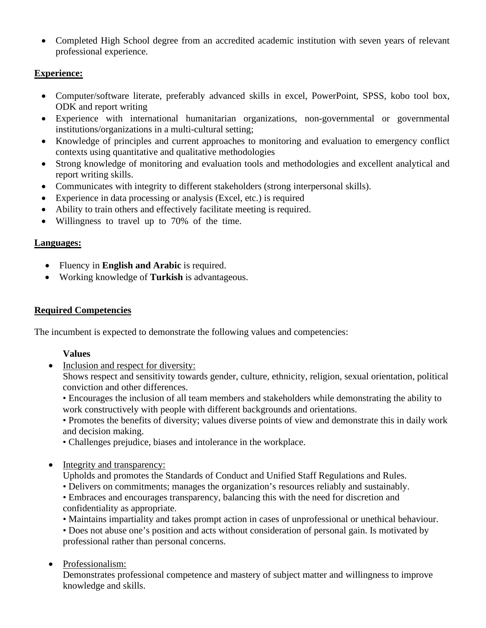• Completed High School degree from an accredited academic institution with seven years of relevant professional experience.

# **Experience:**

- Computer/software literate, preferably advanced skills in excel, PowerPoint, SPSS, kobo tool box, ODK and report writing
- Experience with international humanitarian organizations, non-governmental or governmental institutions/organizations in a multi-cultural setting;
- Knowledge of principles and current approaches to monitoring and evaluation to emergency conflict contexts using quantitative and qualitative methodologies
- Strong knowledge of monitoring and evaluation tools and methodologies and excellent analytical and report writing skills.
- Communicates with integrity to different stakeholders (strong interpersonal skills).
- Experience in data processing or analysis (Excel, etc.) is required
- Ability to train others and effectively facilitate meeting is required.
- Willingness to travel up to 70% of the time.

# **Languages:**

- Fluency in **English and Arabic** is required.
- Working knowledge of **Turkish** is advantageous.

# **Required Competencies**

The incumbent is expected to demonstrate the following values and competencies:

# **Values**

• Inclusion and respect for diversity:

Shows respect and sensitivity towards gender, culture, ethnicity, religion, sexual orientation, political conviction and other differences.

• Encourages the inclusion of all team members and stakeholders while demonstrating the ability to work constructively with people with different backgrounds and orientations.

• Promotes the benefits of diversity; values diverse points of view and demonstrate this in daily work and decision making.

- Challenges prejudice, biases and intolerance in the workplace.
- Integrity and transparency:
	- Upholds and promotes the Standards of Conduct and Unified Staff Regulations and Rules.
	- Delivers on commitments; manages the organization's resources reliably and sustainably.
	- Embraces and encourages transparency, balancing this with the need for discretion and confidentiality as appropriate.
	- Maintains impartiality and takes prompt action in cases of unprofessional or unethical behaviour.
	- Does not abuse one's position and acts without consideration of personal gain. Is motivated by professional rather than personal concerns.
- Professionalism:

Demonstrates professional competence and mastery of subject matter and willingness to improve knowledge and skills.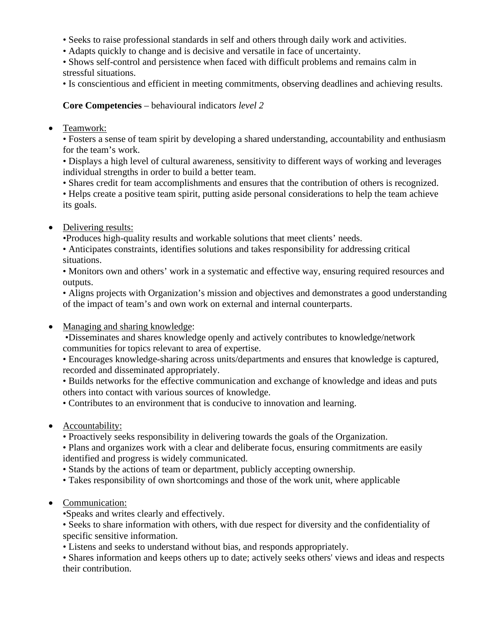- Seeks to raise professional standards in self and others through daily work and activities.
- Adapts quickly to change and is decisive and versatile in face of uncertainty.
- Shows self-control and persistence when faced with difficult problems and remains calm in stressful situations.

• Is conscientious and efficient in meeting commitments, observing deadlines and achieving results.

## **Core Competencies** – behavioural indicators *level 2*

• Teamwork:

• Fosters a sense of team spirit by developing a shared understanding, accountability and enthusiasm for the team's work.

• Displays a high level of cultural awareness, sensitivity to different ways of working and leverages individual strengths in order to build a better team.

• Shares credit for team accomplishments and ensures that the contribution of others is recognized.

• Helps create a positive team spirit, putting aside personal considerations to help the team achieve its goals.

• Delivering results:

•Produces high-quality results and workable solutions that meet clients' needs.

• Anticipates constraints, identifies solutions and takes responsibility for addressing critical situations.

• Monitors own and others' work in a systematic and effective way, ensuring required resources and outputs.

• Aligns projects with Organization's mission and objectives and demonstrates a good understanding of the impact of team's and own work on external and internal counterparts.

• Managing and sharing knowledge:

•Disseminates and shares knowledge openly and actively contributes to knowledge/network communities for topics relevant to area of expertise.

• Encourages knowledge-sharing across units/departments and ensures that knowledge is captured, recorded and disseminated appropriately.

• Builds networks for the effective communication and exchange of knowledge and ideas and puts others into contact with various sources of knowledge.

• Contributes to an environment that is conducive to innovation and learning.

• Accountability:

• Proactively seeks responsibility in delivering towards the goals of the Organization.

• Plans and organizes work with a clear and deliberate focus, ensuring commitments are easily identified and progress is widely communicated.

• Stands by the actions of team or department, publicly accepting ownership.

- Takes responsibility of own shortcomings and those of the work unit, where applicable
- Communication:

•Speaks and writes clearly and effectively.

• Seeks to share information with others, with due respect for diversity and the confidentiality of specific sensitive information.

• Listens and seeks to understand without bias, and responds appropriately.

• Shares information and keeps others up to date; actively seeks others' views and ideas and respects their contribution.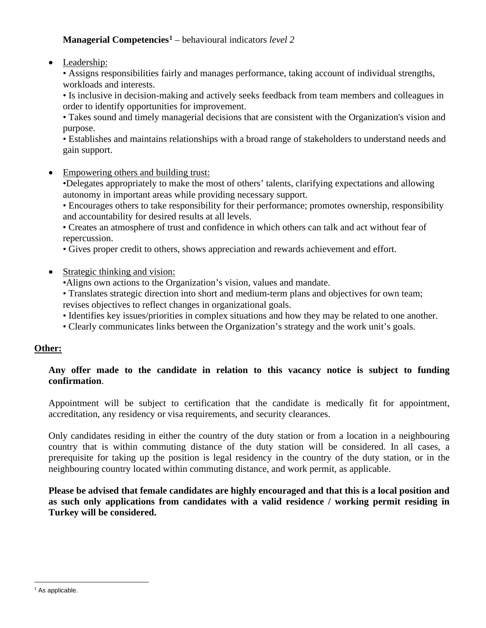# **Managerial Competencies[1](#page-4-0)** – behavioural indicators *level 2*

• Leadership:

• Assigns responsibilities fairly and manages performance, taking account of individual strengths, workloads and interests.

• Is inclusive in decision-making and actively seeks feedback from team members and colleagues in order to identify opportunities for improvement.

• Takes sound and timely managerial decisions that are consistent with the Organization's vision and purpose.

• Establishes and maintains relationships with a broad range of stakeholders to understand needs and gain support.

• Empowering others and building trust:

•Delegates appropriately to make the most of others' talents, clarifying expectations and allowing autonomy in important areas while providing necessary support.

• Encourages others to take responsibility for their performance; promotes ownership, responsibility and accountability for desired results at all levels.

• Creates an atmosphere of trust and confidence in which others can talk and act without fear of repercussion.

- Gives proper credit to others, shows appreciation and rewards achievement and effort.
- Strategic thinking and vision:
	- •Aligns own actions to the Organization's vision, values and mandate.
	- Translates strategic direction into short and medium-term plans and objectives for own team; revises objectives to reflect changes in organizational goals.
	- Identifies key issues/priorities in complex situations and how they may be related to one another.
	- Clearly communicates links between the Organization's strategy and the work unit's goals.

### **Other:**

### **Any offer made to the candidate in relation to this vacancy notice is subject to funding confirmation**.

Appointment will be subject to certification that the candidate is medically fit for appointment, accreditation, any residency or visa requirements, and security clearances.

Only candidates residing in either the country of the duty station or from a location in a neighbouring country that is within commuting distance of the duty station will be considered. In all cases, a prerequisite for taking up the position is legal residency in the country of the duty station, or in the neighbouring country located within commuting distance, and work permit, as applicable.

**Please be advised that female candidates are highly encouraged and that this is a local position and as such only applications from candidates with a valid residence / working permit residing in Turkey will be considered.**

<span id="page-4-0"></span><sup>&</sup>lt;sup>1</sup> As applicable.